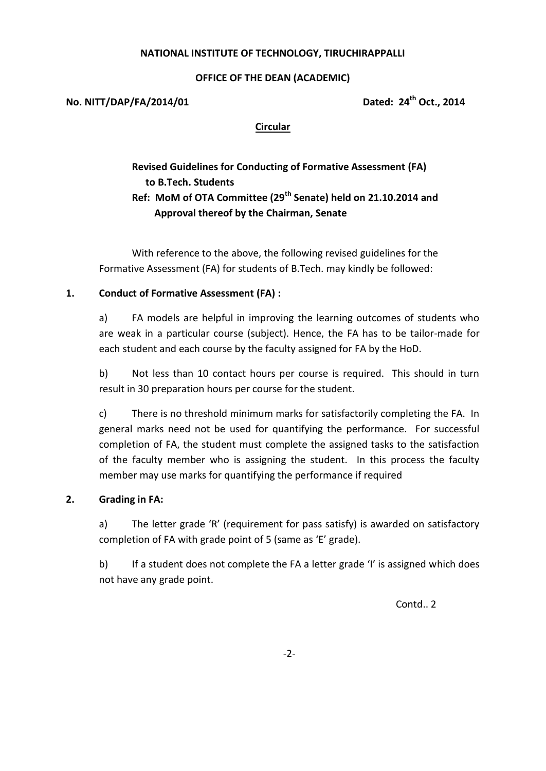# **NATIONAL INSTITUTE OF TECHNOLOGY, TIRUCHIRAPPALLI**

# **OFFICE OF THE DEAN (ACADEMIC)**

**No. NITT/DAP/FA/2014/01 Dated: 24th Oct., 2014**

# **Circular**

# **Revised Guidelines for Conducting of Formative Assessment (FA) to B.Tech. Students Ref: MoM of OTA Committee (29th Senate) held on 21.10.2014 and Approval thereof by the Chairman, Senate**

With reference to the above, the following revised guidelines for the Formative Assessment (FA) for students of B.Tech. may kindly be followed:

# **1. Conduct of Formative Assessment (FA) :**

a) FA models are helpful in improving the learning outcomes of students who are weak in a particular course (subject). Hence, the FA has to be tailor-made for each student and each course by the faculty assigned for FA by the HoD.

b) Not less than 10 contact hours per course is required. This should in turn result in 30 preparation hours per course for the student.

c) There is no threshold minimum marks for satisfactorily completing the FA. In general marks need not be used for quantifying the performance. For successful completion of FA, the student must complete the assigned tasks to the satisfaction of the faculty member who is assigning the student. In this process the faculty member may use marks for quantifying the performance if required

# **2. Grading in FA:**

a) The letter grade 'R' (requirement for pass satisfy) is awarded on satisfactory completion of FA with grade point of 5 (same as 'E' grade).

b) If a student does not complete the FA a letter grade 'I' is assigned which does not have any grade point.

Contd.. 2